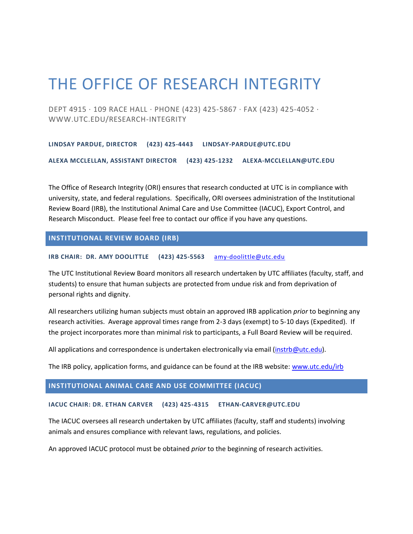# THE OFFICE OF RESEARCH INTEGRITY

DEPT 4915 · 109 RACE HALL · PHONE (423) 425-5867 · FAX (423) 425-4052 · WWW.UTC.EDU/RESEARCH-INTEGRITY

**LINDSAY PARDUE, DIRECTOR (423) 425-4443 [LINDSAY-PARDUE@UTC.EDU](mailto:lindsay-pardue@utc.edu)**

**ALEXA MCCLELLAN, ASSISTANT DIRECTOR (423) 425-1232 [ALEXA-MCCLELLAN@UTC.EDU](mailto:alexa-mcclellan@utc.edu)**

The Office of Research Integrity (ORI) ensures that research conducted at UTC is in compliance with university, state, and federal regulations. Specifically, ORI oversees administration of the Institutional Review Board (IRB), the Institutional Animal Care and Use Committee (IACUC), Export Control, and Research Misconduct. Please feel free to contact our office if you have any questions.

# **INSTITUTIONAL REVIEW BOARD (IRB)**

**IRB CHAIR: DR. AMY DOOLITTLE (423) 425-5563** [amy-doolittle@utc.edu](mailto:amy-doolittle@utc.edu)

The UTC Institutional Review Board monitors all research undertaken by UTC affiliates (faculty, staff, and students) to ensure that human subjects are protected from undue risk and from deprivation of personal rights and dignity.

All researchers utilizing human subjects must obtain an approved IRB application *prior* to beginning any research activities. Average approval times range from 2-3 days (exempt) to 5-10 days (Expedited). If the project incorporates more than minimal risk to participants, a Full Board Review will be required.

All applications and correspondence is undertaken electronically via email [\(instrb@utc.edu\)](mailto:instrb@utc.edu).

The IRB policy, application forms, and guidance can be found at the IRB website: [www.utc.edu/irb](http://www.utc.edu/irb)

# **INSTITUTIONAL ANIMAL CARE AND USE COMMITTEE (IACUC)**

#### **IACUC CHAIR: DR. ETHAN CARVER (423) 425-4315 [ETHAN-CARVER@UTC.EDU](mailto:ethan-carver@utc.edu)**

The IACUC oversees all research undertaken by UTC affiliates (faculty, staff and students) involving animals and ensures compliance with relevant laws, regulations, and policies.

An approved IACUC protocol must be obtained *prior* to the beginning of research activities.